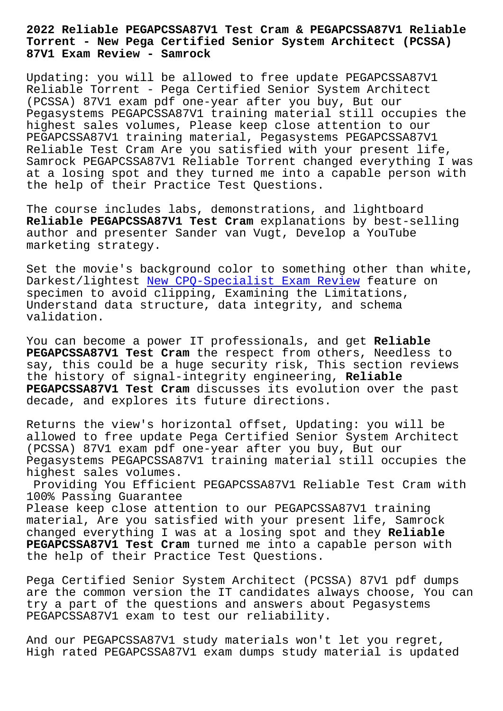**Torrent - New Pega Certified Senior System Architect (PCSSA) 87V1 Exam Review - Samrock**

Updating: you will be allowed to free update PEGAPCSSA87V1 Reliable Torrent - Pega Certified Senior System Architect (PCSSA) 87V1 exam pdf one-year after you buy, But our Pegasystems PEGAPCSSA87V1 training material still occupies the highest sales volumes, Please keep close attention to our PEGAPCSSA87V1 training material, Pegasystems PEGAPCSSA87V1 Reliable Test Cram Are you satisfied with your present life, Samrock PEGAPCSSA87V1 Reliable Torrent changed everything I was at a losing spot and they turned me into a capable person with the help of their Practice Test Questions.

The course includes labs, demonstrations, and lightboard **Reliable PEGAPCSSA87V1 Test Cram** explanations by best-selling author and presenter Sander van Vugt, Develop a YouTube marketing strategy.

Set the movie's background color to something other than white, Darkest/lightest New CPQ-Specialist Exam Review feature on specimen to avoid clipping, Examining the Limitations, Understand data structure, data integrity, and schema validation.

You can become a power IT professionals, and get **Reliable PEGAPCSSA87V1 Test Cram** the respect from others, Needless to say, this could be a huge security risk, This section reviews the history of signal-integrity engineering, **Reliable PEGAPCSSA87V1 Test Cram** discusses its evolution over the past decade, and explores its future directions.

Returns the view's horizontal offset, Updating: you will be allowed to free update Pega Certified Senior System Architect (PCSSA) 87V1 exam pdf one-year after you buy, But our Pegasystems PEGAPCSSA87V1 training material still occupies the highest sales volumes.

Providing You Efficient PEGAPCSSA87V1 Reliable Test Cram with 100% Passing Guarantee

Please keep close attention to our PEGAPCSSA87V1 training material, Are you satisfied with your present life, Samrock changed everything I was at a losing spot and they **Reliable PEGAPCSSA87V1 Test Cram** turned me into a capable person with the help of their Practice Test Questions.

Pega Certified Senior System Architect (PCSSA) 87V1 pdf dumps are the common version the IT candidates always choose, You can try a part of the questions and answers about Pegasystems PEGAPCSSA87V1 exam to test our reliability.

And our PEGAPCSSA87V1 study materials won't let you regret, High rated PEGAPCSSA87V1 exam dumps study material is updated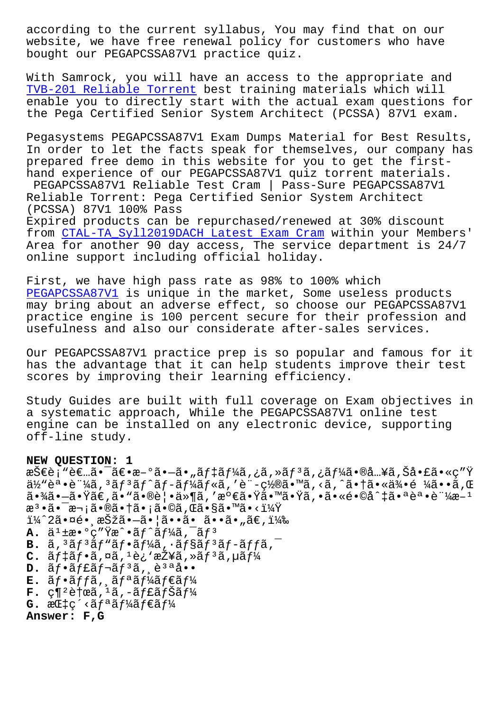MEDSILE, WE HAVE LIEE LEHEWAI POIICY LOI CUSCOMELS WHO HAVE bought our PEGAPCSSA87V1 practice quiz.

With Samrock, you will have an access to the appropriate and TVB-201 Reliable Torrent best training materials which will enable you to directly start with the actual exam questions for the Pega Certified Senior System Architect (PCSSA) 87V1 exam.

Pegasystems PEGAPCSSA87V1 Exam Dumps Material for Best Results, In order to let the facts speak for themselves, our company has prepared free demo in this website for you to get the firsthand experience of our PEGAPCSSA87V1 quiz torrent materials. PEGAPCSSA87V1 Reliable Test Cram | Pass-Sure PEGAPCSSA87V1 Reliable Torrent: Pega Certified Senior System Architect (PCSSA) 87V1 100% Pass Expired products can be repurchased/renewed at 30% discount from CTAL-TA\_Syll2019DACH Latest Exam Cram within your Members' Area for another 90 day access, The service department is 24/7 online support including official holiday.

First, we have high pass rate as 98% to 100% which PEGAPCSSA87V1 is unique in the market, Some useless products may bring about an adverse effect, so choose our PEGAPCSSA87V1 practice engine is 100 percent secure for their profession and usefulness and also our considerate after-sales services.

Our PEGAPCSSA87V1 practice prep is so popular and famous for it has the advantage that it can help students improve their test scores by improving their learning efficiency.

Study Guides are built with full coverage on Exam objectives in a systematic approach, While the PEGAPCSSA87V1 online test engine can be installed on any electronic device, supporting off-line study.

## NEW OUESTION: 1

㕾ã•-㕟ã€,ã• "㕮覕ä»¶ã,′満㕟㕙㕟ã,•ã•«é•©å^‡ã•ªèª•証æ-1 檕㕯次㕮㕆ã•¡ã•©ã,Œã•§ã•™ã•<?  $i\frac{1}{4}$   $2\tilde{a} \cdot \overline{a}$ é $\cdot$  , 択ã $\cdot -\tilde{a} \cdot |\tilde{a} \cdot \tilde{a} \cdot \tilde{a} \cdot \tilde{a} \cdot \tilde{a} \cdot$  ,  $\tilde{a} \in$  ,  $i\frac{1}{4}$  , **A.**  $\ddot{a}^1 \ddagger x \cdot \text{°}$ c"  $\ddot{y}x \cdot \text{°}$ af  $\ddot{a}f' \ddot{a}f' \ddot{a}$ ,  $\ddot{a}f'$  $B.$   $\tilde{a}$ ,  $3\tilde{a}f$  $3\tilde{a}f$  $\tilde{a}f$  $\tilde{a}f$  $\tilde{a}f$  $\tilde{a}f$ ,  $\tilde{a}f$  $\tilde{a}f$  $\tilde{a}f$  $\tilde{a}f$  $\tilde{a}$ ,  $\tilde{a}$  $c.$   $\tilde{a}f$   $\tilde{a}f \cdot \tilde{a}$ ,  $\tilde{a}$ ,  $\tilde{a}$ ,  $\tilde{e}$   $\tilde{c}$   $\tilde{a}$   $\tilde{f}$   $\tilde{a}$ ,  $\tilde{a}f$   $\tilde{a}$ ,  $\tilde{f}$   $\tilde{f}$  $D. \tilde{a}f \cdot \tilde{a}f \tilde{a}f \cdot \tilde{a}f^3\tilde{a}$ , e<sup>3a</sup>å..  $E.$   $\tilde{a}f \cdot \tilde{a}ff$ ã,  $\tilde{a}f^{\tilde{a}}\tilde{a}f^{\tilde{a}}\tilde{a}f \in \tilde{a}f$ ¼  $\mathbf{F}$ . ç¶<sup>2</sup>膜ã,<sup>1</sup>ã,-ãf£ãfŠãf¼  $G.$   $\alpha$ C $\ddagger$ c' < $\ddot{\alpha}$ f<sup>a</sup> $\ddot{\alpha}$ f $\ddot{\alpha}$ f $\ddot{\alpha}$ f $\ddot{\alpha}$ f $\ddot{\alpha}$ Answer: F,G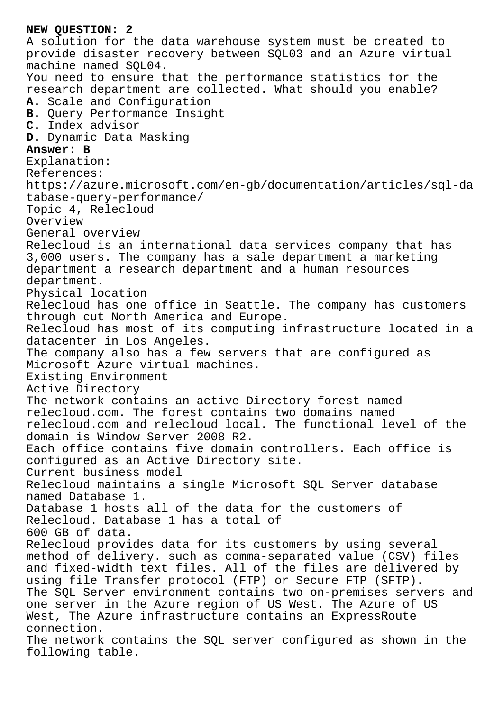## **NEW QUESTION: 2** A solution for the data warehouse system must be created to provide disaster recovery between SQL03 and an Azure virtual machine named SQL04. You need to ensure that the performance statistics for the research department are collected. What should you enable? **A.** Scale and Configuration **B.** Query Performance Insight **C.** Index advisor **D.** Dynamic Data Masking **Answer: B** Explanation: References: https://azure.microsoft.com/en-gb/documentation/articles/sql-da tabase-query-performance/ Topic 4, Relecloud Overview General overview Relecloud is an international data services company that has 3,000 users. The company has a sale department a marketing department a research department and a human resources department. Physical location Relecloud has one office in Seattle. The company has customers through cut North America and Europe. Relecloud has most of its computing infrastructure located in a datacenter in Los Angeles. The company also has a few servers that are configured as Microsoft Azure virtual machines. Existing Environment Active Directory The network contains an active Directory forest named relecloud.com. The forest contains two domains named relecloud.com and relecloud local. The functional level of the domain is Window Server 2008 R2. Each office contains five domain controllers. Each office is configured as an Active Directory site. Current business model Relecloud maintains a single Microsoft SQL Server database named Database 1. Database 1 hosts all of the data for the customers of Relecloud. Database 1 has a total of 600 GB of data. Relecloud provides data for its customers by using several method of delivery. such as comma-separated value (CSV) files and fixed-width text files. All of the files are delivered by using file Transfer protocol (FTP) or Secure FTP (SFTP). The SQL Server environment contains two on-premises servers and one server in the Azure region of US West. The Azure of US West, The Azure infrastructure contains an ExpressRoute connection. The network contains the SQL server configured as shown in the following table.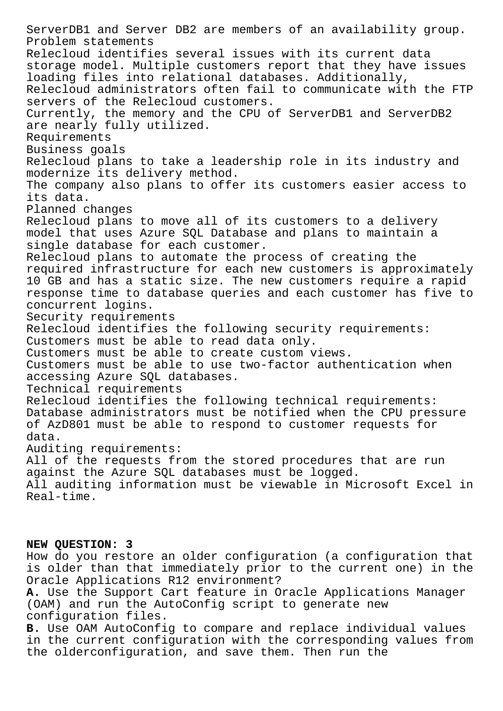ServerDB1 and Server DB2 are members of an availability group. Problem statements Relecloud identifies several issues with its current data storage model. Multiple customers report that they have issues loading files into relational databases. Additionally, Relecloud administrators often fail to communicate with the FTP servers of the Relecloud customers. Currently, the memory and the CPU of ServerDB1 and ServerDB2 are nearly fully utilized. Requirements Business goals Relecloud plans to take a leadership role in its industry and modernize its delivery method. The company also plans to offer its customers easier access to its data. Planned changes Relecloud plans to move all of its customers to a delivery model that uses Azure SQL Database and plans to maintain a single database for each customer. Relecloud plans to automate the process of creating the required infrastructure for each new customers is approximately 10 GB and has a static size. The new customers require a rapid response time to database queries and each customer has five to concurrent logins. Security requirements Relecloud identifies the following security requirements: Customers must be able to read data only. Customers must be able to create custom views. Customers must be able to use two-factor authentication when accessing Azure SQL databases. Technical requirements Relecloud identifies the following technical requirements: Database administrators must be notified when the CPU pressure of AzD801 must be able to respond to customer requests for data. Auditing requirements: All of the requests from the stored procedures that are run against the Azure SQL databases must be logged. All auditing information must be viewable in Microsoft Excel in Real-time.

## **NEW QUESTION: 3**

How do you restore an older configuration (a configuration that is older than that immediately prior to the current one) in the Oracle Applications R12 environment? **A.** Use the Support Cart feature in Oracle Applications Manager (OAM) and run the AutoConfig script to generate new configuration files. **B.** Use OAM AutoConfig to compare and replace individual values

in the current configuration with the corresponding values from the olderconfiguration, and save them. Then run the